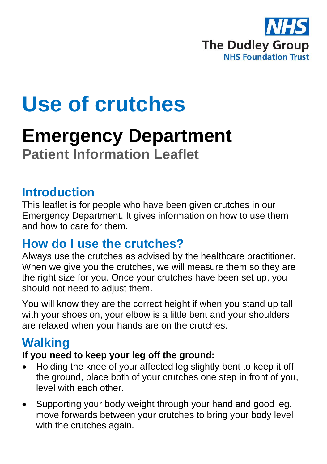

# **Use of crutches**

# **Emergency Department Patient Information Leaflet**

## **Introduction**

This leaflet is for people who have been given crutches in our Emergency Department. It gives information on how to use them and how to care for them.

## **How do I use the crutches?**

Always use the crutches as advised by the healthcare practitioner. When we give you the crutches, we will measure them so they are the right size for you. Once your crutches have been set up, you should not need to adjust them.

You will know they are the correct height if when you stand up tall with your shoes on, your elbow is a little bent and your shoulders are relaxed when your hands are on the crutches.

# **Walking**

#### **If you need to keep your leg off the ground:**

- Holding the knee of your affected leg slightly bent to keep it off the ground, place both of your crutches one step in front of you, level with each other.
- Supporting your body weight through your hand and good leg, move forwards between your crutches to bring your body level with the crutches again.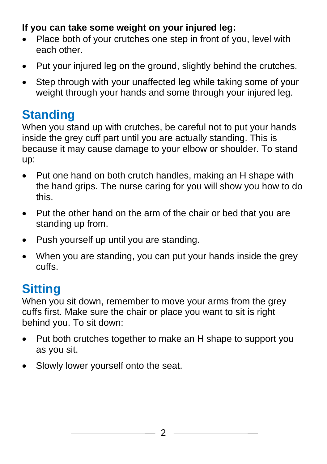#### **If you can take some weight on your injured leg:**

- Place both of your crutches one step in front of you, level with each other.
- Put your injured leg on the ground, slightly behind the crutches.
- Step through with your unaffected leg while taking some of your weight through your hands and some through your injured leg.

# **Standing**

When you stand up with crutches, be careful not to put your hands inside the grey cuff part until you are actually standing. This is because it may cause damage to your elbow or shoulder. To stand up:

- Put one hand on both crutch handles, making an H shape with the hand grips. The nurse caring for you will show you how to do this.
- Put the other hand on the arm of the chair or bed that you are standing up from.
- Push yourself up until you are standing.
- When you are standing, you can put your hands inside the grey cuffs.

# **Sitting**

When you sit down, remember to move your arms from the grey cuffs first. Make sure the chair or place you want to sit is right behind you. To sit down:

- Put both crutches together to make an H shape to support you as you sit.
- Slowly lower yourself onto the seat.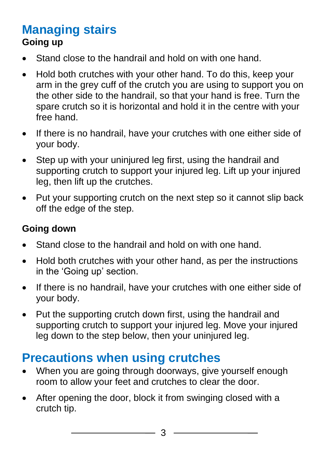## **Managing stairs Going up**

- Stand close to the handrail and hold on with one hand.
- Hold both crutches with your other hand. To do this, keep your arm in the grey cuff of the crutch you are using to support you on the other side to the handrail, so that your hand is free. Turn the spare crutch so it is horizontal and hold it in the centre with your free hand.
- If there is no handrail, have your crutches with one either side of your body.
- Step up with your uniniured leg first, using the handrail and supporting crutch to support your injured leg. Lift up your injured leg, then lift up the crutches.
- Put your supporting crutch on the next step so it cannot slip back off the edge of the step.

#### **Going down**

- Stand close to the handrail and hold on with one hand.
- Hold both crutches with your other hand, as per the instructions in the 'Going up' section.
- If there is no handrail, have your crutches with one either side of your body.
- Put the supporting crutch down first, using the handrail and supporting crutch to support your injured leg. Move your injured leg down to the step below, then your uninjured leg.

# **Precautions when using crutches**

- When you are going through doorways, give yourself enough room to allow your feet and crutches to clear the door.
- After opening the door, block it from swinging closed with a crutch tip.